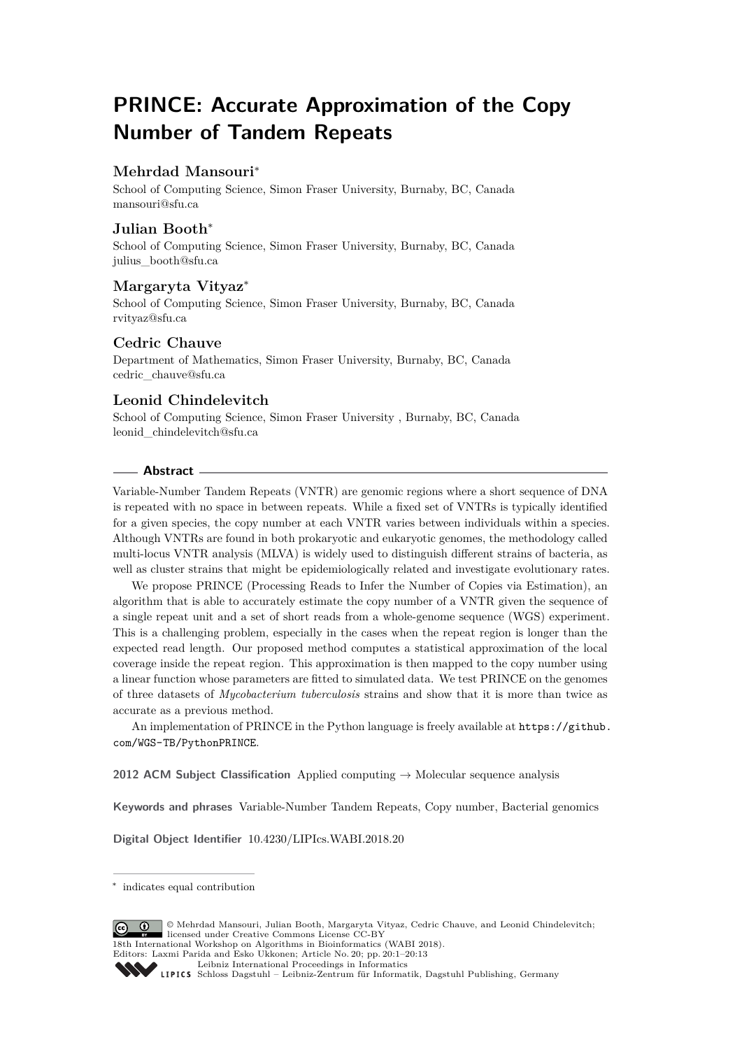# **PRINCE: Accurate Approximation of the Copy Number of Tandem Repeats**

# **Mehrdad Mansouri**<sup>∗</sup>

School of Computing Science, Simon Fraser University, Burnaby, BC, Canada [mansouri@sfu.ca](mailto:mansouri@sfu.ca)

# **Julian Booth**<sup>∗</sup>

School of Computing Science, Simon Fraser University, Burnaby, BC, Canada [julius\\_booth@sfu.ca](mailto:julius_booth@sfu.ca)

#### **Margaryta Vityaz**<sup>∗</sup>

School of Computing Science, Simon Fraser University, Burnaby, BC, Canada [rvityaz@sfu.ca](mailto:rvityaz@sfu.ca)

# **Cedric Chauve**

Department of Mathematics, Simon Fraser University, Burnaby, BC, Canada [cedric\\_chauve@sfu.ca](mailto:cedric_chauve@sfu.ca)

# **Leonid Chindelevitch**

School of Computing Science, Simon Fraser University , Burnaby, BC, Canada [leonid\\_chindelevitch@sfu.ca](mailto:leonid_chindelevitch@sfu.ca)

#### **Abstract**

Variable-Number Tandem Repeats (VNTR) are genomic regions where a short sequence of DNA is repeated with no space in between repeats. While a fixed set of VNTRs is typically identified for a given species, the copy number at each VNTR varies between individuals within a species. Although VNTRs are found in both prokaryotic and eukaryotic genomes, the methodology called multi-locus VNTR analysis (MLVA) is widely used to distinguish different strains of bacteria, as well as cluster strains that might be epidemiologically related and investigate evolutionary rates.

We propose PRINCE (Processing Reads to Infer the Number of Copies via Estimation), an algorithm that is able to accurately estimate the copy number of a VNTR given the sequence of a single repeat unit and a set of short reads from a whole-genome sequence (WGS) experiment. This is a challenging problem, especially in the cases when the repeat region is longer than the expected read length. Our proposed method computes a statistical approximation of the local coverage inside the repeat region. This approximation is then mapped to the copy number using a linear function whose parameters are fitted to simulated data. We test PRINCE on the genomes of three datasets of *Mycobacterium tuberculosis* strains and show that it is more than twice as accurate as a previous method.

An implementation of PRINCE in the Python language is freely available at [https://github.](https://github.com/WGS-TB/PythonPRINCE) [com/WGS-TB/PythonPRINCE](https://github.com/WGS-TB/PythonPRINCE).

**2012 ACM Subject Classification** Applied computing → Molecular sequence analysis

**Keywords and phrases** Variable-Number Tandem Repeats, Copy number, Bacterial genomics

**Digital Object Identifier** [10.4230/LIPIcs.WABI.2018.20](http://dx.doi.org/10.4230/LIPIcs.WABI.2018.20)

© Mehrdad Mansouri, Julian Booth, Margaryta Vityaz, Cedric Chauve, and Leonid Chindelevitch;  $\boxed{6}$   $\boxed{0}$ licensed under Creative Commons License CC-BY 18th International Workshop on Algorithms in Bioinformatics (WABI 2018).

Editors: Laxmi Parida and Esko Ukkonen; Article No. 20; pp. 20:1–20[:13](#page-12-0)

<sup>∗</sup> indicates equal contribution

[Leibniz International Proceedings in Informatics](http://www.dagstuhl.de/lipics/)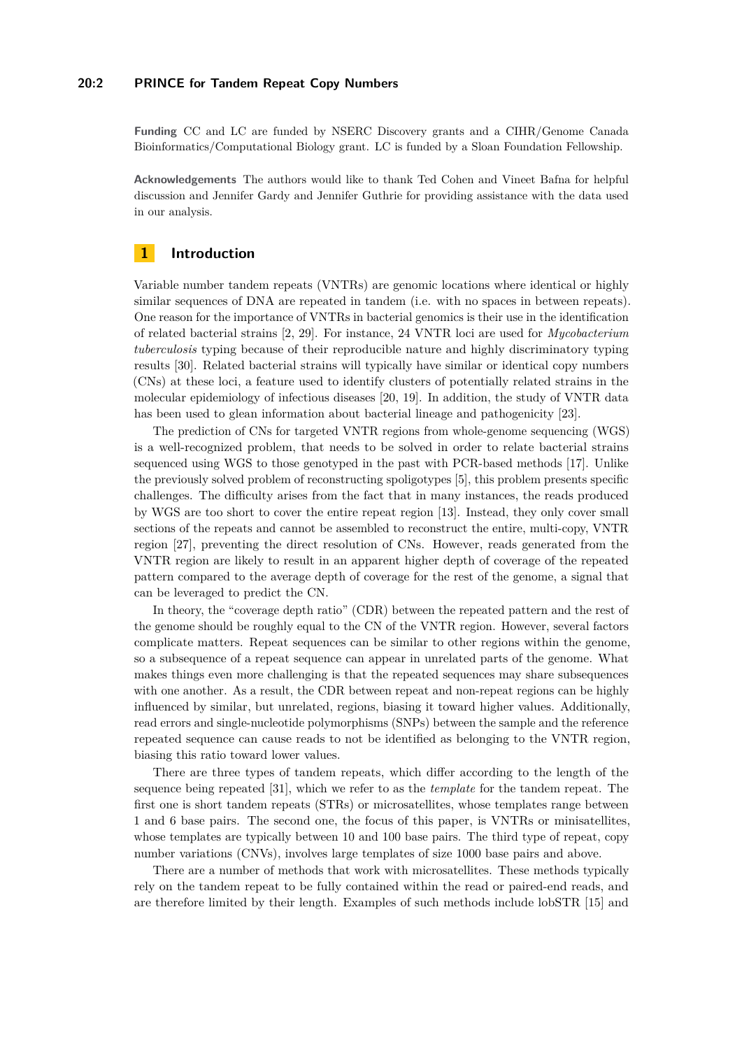#### **20:2 PRINCE for Tandem Repeat Copy Numbers**

**Funding** CC and LC are funded by NSERC Discovery grants and a CIHR/Genome Canada Bioinformatics/Computational Biology grant. LC is funded by a Sloan Foundation Fellowship.

**Acknowledgements** The authors would like to thank Ted Cohen and Vineet Bafna for helpful discussion and Jennifer Gardy and Jennifer Guthrie for providing assistance with the data used in our analysis.

# **1 Introduction**

Variable number tandem repeats (VNTRs) are genomic locations where identical or highly similar sequences of DNA are repeated in tandem (i.e. with no spaces in between repeats). One reason for the importance of VNTRs in bacterial genomics is their use in the identification of related bacterial strains [\[2,](#page-10-0) [29\]](#page-11-0). For instance, 24 VNTR loci are used for *Mycobacterium tuberculosis* typing because of their reproducible nature and highly discriminatory typing results [\[30\]](#page-11-1). Related bacterial strains will typically have similar or identical copy numbers (CNs) at these loci, a feature used to identify clusters of potentially related strains in the molecular epidemiology of infectious diseases [\[20,](#page-11-2) [19\]](#page-10-1). In addition, the study of VNTR data has been used to glean information about bacterial lineage and pathogenicity [\[23\]](#page-11-3).

The prediction of CNs for targeted VNTR regions from whole-genome sequencing (WGS) is a well-recognized problem, that needs to be solved in order to relate bacterial strains sequenced using WGS to those genotyped in the past with PCR-based methods [\[17\]](#page-10-2). Unlike the previously solved problem of reconstructing spoligotypes [\[5\]](#page-10-3), this problem presents specific challenges. The difficulty arises from the fact that in many instances, the reads produced by WGS are too short to cover the entire repeat region [\[13\]](#page-10-4). Instead, they only cover small sections of the repeats and cannot be assembled to reconstruct the entire, multi-copy, VNTR region [\[27\]](#page-11-4), preventing the direct resolution of CNs. However, reads generated from the VNTR region are likely to result in an apparent higher depth of coverage of the repeated pattern compared to the average depth of coverage for the rest of the genome, a signal that can be leveraged to predict the CN.

In theory, the "coverage depth ratio" (CDR) between the repeated pattern and the rest of the genome should be roughly equal to the CN of the VNTR region. However, several factors complicate matters. Repeat sequences can be similar to other regions within the genome, so a subsequence of a repeat sequence can appear in unrelated parts of the genome. What makes things even more challenging is that the repeated sequences may share subsequences with one another. As a result, the CDR between repeat and non-repeat regions can be highly influenced by similar, but unrelated, regions, biasing it toward higher values. Additionally, read errors and single-nucleotide polymorphisms (SNPs) between the sample and the reference repeated sequence can cause reads to not be identified as belonging to the VNTR region, biasing this ratio toward lower values.

There are three types of tandem repeats, which differ according to the length of the sequence being repeated [\[31\]](#page-11-5), which we refer to as the *template* for the tandem repeat. The first one is short tandem repeats (STRs) or microsatellites, whose templates range between 1 and 6 base pairs. The second one, the focus of this paper, is VNTRs or minisatellites, whose templates are typically between 10 and 100 base pairs. The third type of repeat, copy number variations (CNVs), involves large templates of size 1000 base pairs and above.

There are a number of methods that work with microsatellites. These methods typically rely on the tandem repeat to be fully contained within the read or paired-end reads, and are therefore limited by their length. Examples of such methods include lobSTR [\[15\]](#page-10-5) and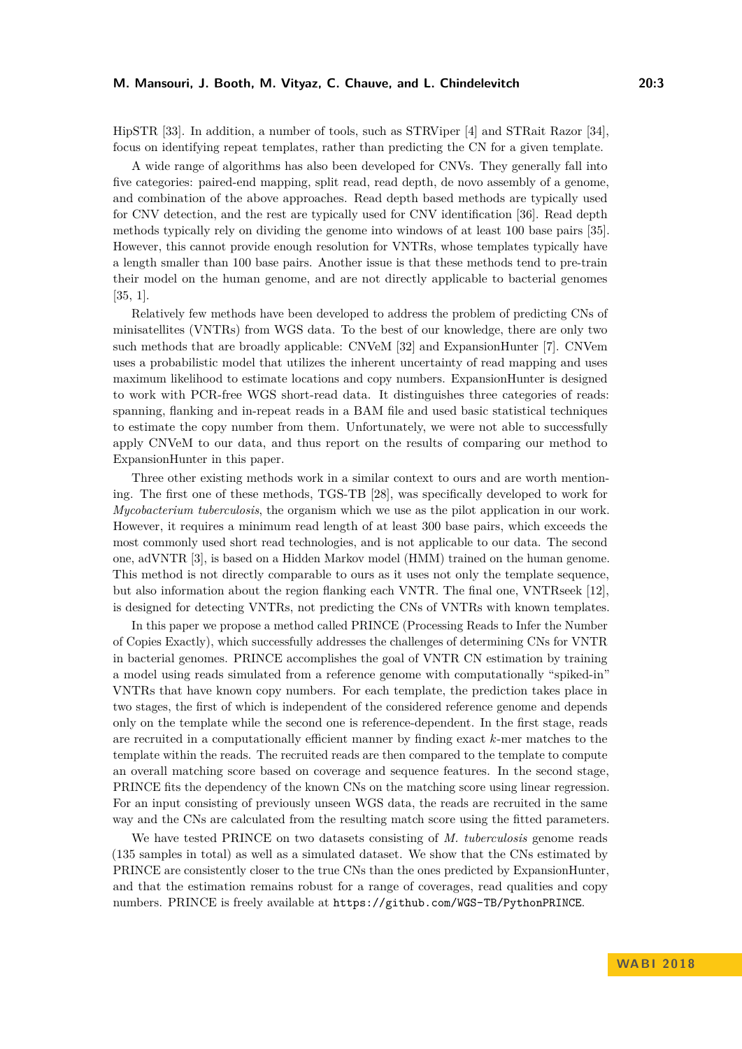#### **M. Mansouri, J. Booth, M. Vityaz, C. Chauve, and L. Chindelevitch 20:3**

HipSTR [\[33\]](#page-11-6). In addition, a number of tools, such as STRViper [\[4\]](#page-10-6) and STRait Razor [\[34\]](#page-11-7), focus on identifying repeat templates, rather than predicting the CN for a given template.

A wide range of algorithms has also been developed for CNVs. They generally fall into five categories: paired-end mapping, split read, read depth, de novo assembly of a genome, and combination of the above approaches. Read depth based methods are typically used for CNV detection, and the rest are typically used for CNV identification [\[36\]](#page-11-8). Read depth methods typically rely on dividing the genome into windows of at least 100 base pairs [\[35\]](#page-11-9). However, this cannot provide enough resolution for VNTRs, whose templates typically have a length smaller than 100 base pairs. Another issue is that these methods tend to pre-train their model on the human genome, and are not directly applicable to bacterial genomes [\[35,](#page-11-9) [1\]](#page-10-7).

Relatively few methods have been developed to address the problem of predicting CNs of minisatellites (VNTRs) from WGS data. To the best of our knowledge, there are only two such methods that are broadly applicable: CNVeM [\[32\]](#page-11-10) and ExpansionHunter [\[7\]](#page-10-8). CNVem uses a probabilistic model that utilizes the inherent uncertainty of read mapping and uses maximum likelihood to estimate locations and copy numbers. ExpansionHunter is designed to work with PCR-free WGS short-read data. It distinguishes three categories of reads: spanning, flanking and in-repeat reads in a BAM file and used basic statistical techniques to estimate the copy number from them. Unfortunately, we were not able to successfully apply CNVeM to our data, and thus report on the results of comparing our method to ExpansionHunter in this paper.

Three other existing methods work in a similar context to ours and are worth mentioning. The first one of these methods, TGS-TB [\[28\]](#page-11-11), was specifically developed to work for *Mycobacterium tuberculosis*, the organism which we use as the pilot application in our work. However, it requires a minimum read length of at least 300 base pairs, which exceeds the most commonly used short read technologies, and is not applicable to our data. The second one, adVNTR [\[3\]](#page-10-9), is based on a Hidden Markov model (HMM) trained on the human genome. This method is not directly comparable to ours as it uses not only the template sequence, but also information about the region flanking each VNTR. The final one, VNTRseek [\[12\]](#page-10-10), is designed for detecting VNTRs, not predicting the CNs of VNTRs with known templates.

In this paper we propose a method called PRINCE (Processing Reads to Infer the Number of Copies Exactly), which successfully addresses the challenges of determining CNs for VNTR in bacterial genomes. PRINCE accomplishes the goal of VNTR CN estimation by training a model using reads simulated from a reference genome with computationally "spiked-in" VNTRs that have known copy numbers. For each template, the prediction takes place in two stages, the first of which is independent of the considered reference genome and depends only on the template while the second one is reference-dependent. In the first stage, reads are recruited in a computationally efficient manner by finding exact *k*-mer matches to the template within the reads. The recruited reads are then compared to the template to compute an overall matching score based on coverage and sequence features. In the second stage, PRINCE fits the dependency of the known CNs on the matching score using linear regression. For an input consisting of previously unseen WGS data, the reads are recruited in the same way and the CNs are calculated from the resulting match score using the fitted parameters.

We have tested PRINCE on two datasets consisting of *M. tuberculosis* genome reads (135 samples in total) as well as a simulated dataset. We show that the CNs estimated by PRINCE are consistently closer to the true CNs than the ones predicted by ExpansionHunter, and that the estimation remains robust for a range of coverages, read qualities and copy numbers. PRINCE is freely available at <https://github.com/WGS-TB/PythonPRINCE>.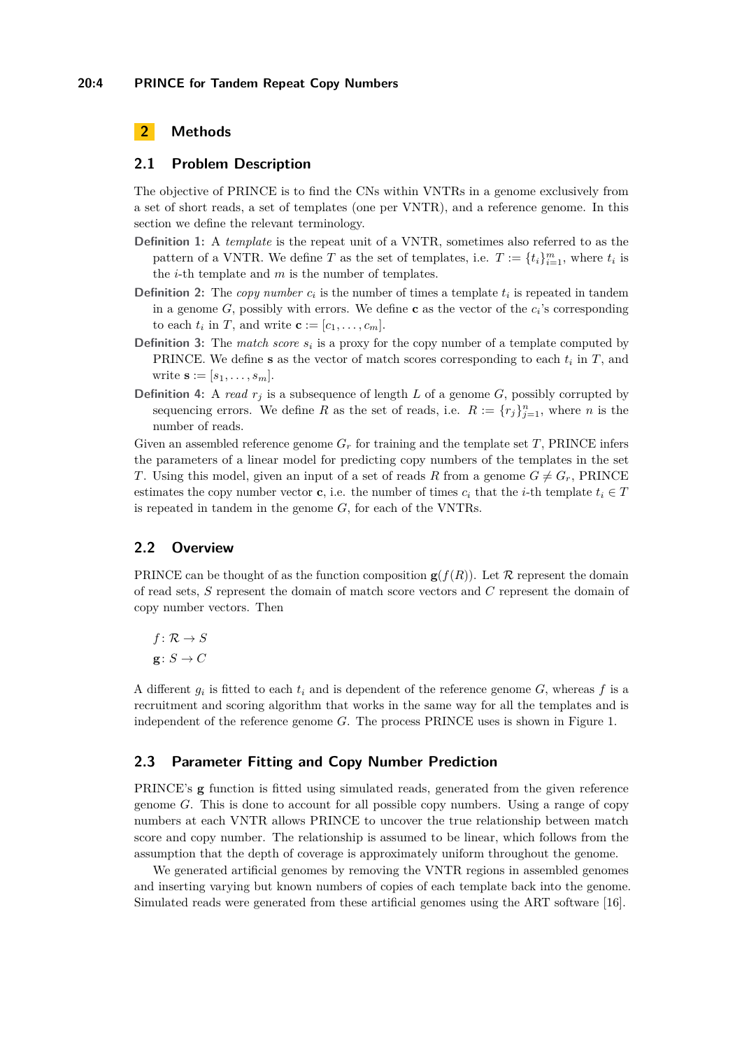# **2 Methods**

#### **2.1 Problem Description**

The objective of PRINCE is to find the CNs within VNTRs in a genome exclusively from a set of short reads, a set of templates (one per VNTR), and a reference genome. In this section we define the relevant terminology.

- **Definition 1:** A *template* is the repeat unit of a VNTR, sometimes also referred to as the pattern of a VNTR. We define *T* as the set of templates, i.e.  $T := \{t_i\}_{i=1}^m$ , where  $t_i$  is the *i*-th template and *m* is the number of templates.
- **Definition 2:** The *copy number*  $c_i$  is the number of times a template  $t_i$  is repeated in tandem in a genome  $G$ , possibly with errors. We define **c** as the vector of the  $c_i$ 's corresponding to each  $t_i$  in  $T$ , and write  $\mathbf{c} := [c_1, \ldots, c_m]$ .
- **Definition 3:** The *match score*  $s_i$  is a proxy for the copy number of a template computed by PRINCE. We define **s** as the vector of match scores corresponding to each *t<sup>i</sup>* in *T*, and write  ${\bf s} := [s_1, \ldots, s_m].$
- **Definition 4:** A *read*  $r_j$  is a subsequence of length *L* of a genome *G*, possibly corrupted by sequencing errors. We define *R* as the set of reads, i.e.  $R := \{r_j\}_{j=1}^n$ , where *n* is the number of reads.

Given an assembled reference genome  $G_r$  for training and the template set *T*, PRINCE infers the parameters of a linear model for predicting copy numbers of the templates in the set *T*. Using this model, given an input of a set of reads *R* from a genome  $G \neq G_r$ , PRINCE estimates the copy number vector **c**, i.e. the number of times  $c_i$  that the *i*-th template  $t_i \in T$ is repeated in tandem in the genome *G*, for each of the VNTRs.

#### **2.2 Overview**

PRINCE can be thought of as the function composition  $\mathbf{g}(f(R))$ . Let R represent the domain of read sets, *S* represent the domain of match score vectors and *C* represent the domain of copy number vectors. Then

 $f: \mathcal{R} \to S$  $g: S \to C$ 

A different  $g_i$  is fitted to each  $t_i$  and is dependent of the reference genome  $G$ , whereas  $f$  is a recruitment and scoring algorithm that works in the same way for all the templates and is independent of the reference genome *G*. The process PRINCE uses is shown in Figure [1.](#page-4-0)

#### **2.3 Parameter Fitting and Copy Number Prediction**

PRINCE's **g** function is fitted using simulated reads, generated from the given reference genome *G*. This is done to account for all possible copy numbers. Using a range of copy numbers at each VNTR allows PRINCE to uncover the true relationship between match score and copy number. The relationship is assumed to be linear, which follows from the assumption that the depth of coverage is approximately uniform throughout the genome.

We generated artificial genomes by removing the VNTR regions in assembled genomes and inserting varying but known numbers of copies of each template back into the genome. Simulated reads were generated from these artificial genomes using the ART software [\[16\]](#page-10-11).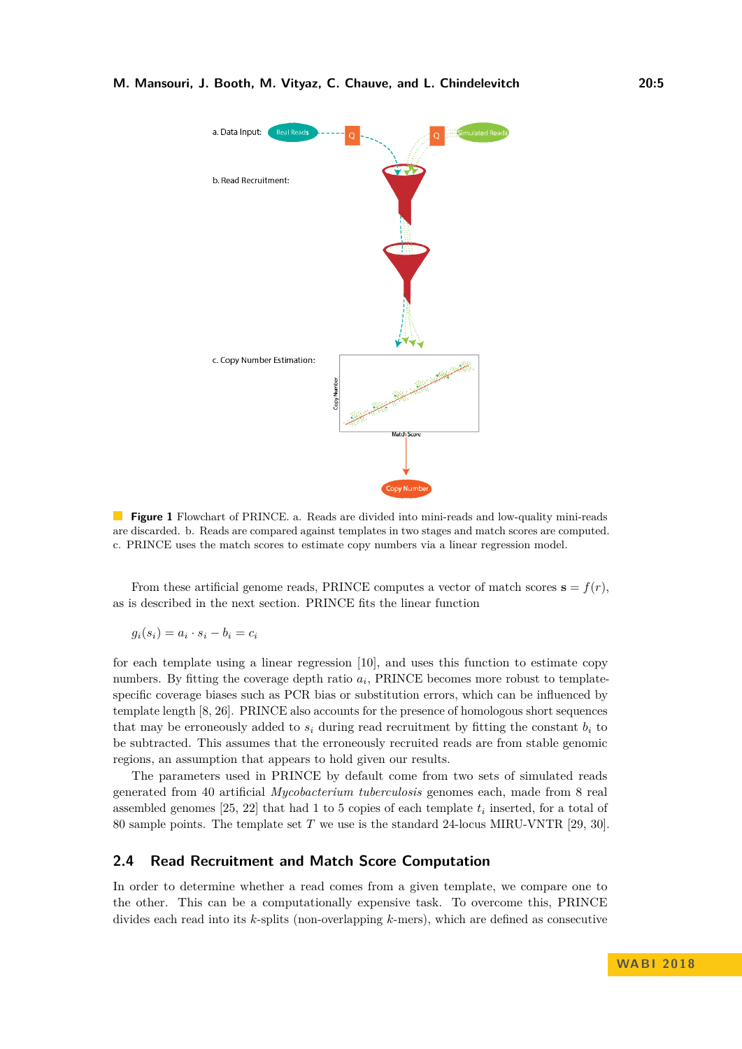<span id="page-4-0"></span>

**Figure 1** Flowchart of PRINCE. a. Reads are divided into mini-reads and low-quality mini-reads are discarded. b. Reads are compared against templates in two stages and match scores are computed. c. PRINCE uses the match scores to estimate copy numbers via a linear regression model.

From these artificial genome reads, PRINCE computes a vector of match scores  $\mathbf{s} = f(r)$ , as is described in the next section. PRINCE fits the linear function

$$
g_i(s_i) = a_i \cdot s_i - b_i = c_i
$$

for each template using a linear regression [\[10\]](#page-10-12), and uses this function to estimate copy numbers. By fitting the coverage depth ratio  $a_i$ , PRINCE becomes more robust to templatespecific coverage biases such as PCR bias or substitution errors, which can be influenced by template length [\[8,](#page-10-13) [26\]](#page-11-12). PRINCE also accounts for the presence of homologous short sequences that may be erroneously added to  $s_i$  during read recruitment by fitting the constant  $b_i$  to be subtracted. This assumes that the erroneously recruited reads are from stable genomic regions, an assumption that appears to hold given our results.

The parameters used in PRINCE by default come from two sets of simulated reads generated from 40 artificial *Mycobacterium tuberculosis* genomes each, made from 8 real assembled genomes [\[25,](#page-11-13) [22\]](#page-11-14) that had 1 to 5 copies of each template *t<sup>i</sup>* inserted, for a total of 80 sample points. The template set *T* we use is the standard 24-locus MIRU-VNTR [\[29,](#page-11-0) [30\]](#page-11-1).

### **2.4 Read Recruitment and Match Score Computation**

In order to determine whether a read comes from a given template, we compare one to the other. This can be a computationally expensive task. To overcome this, PRINCE divides each read into its *k*-splits (non-overlapping *k*-mers), which are defined as consecutive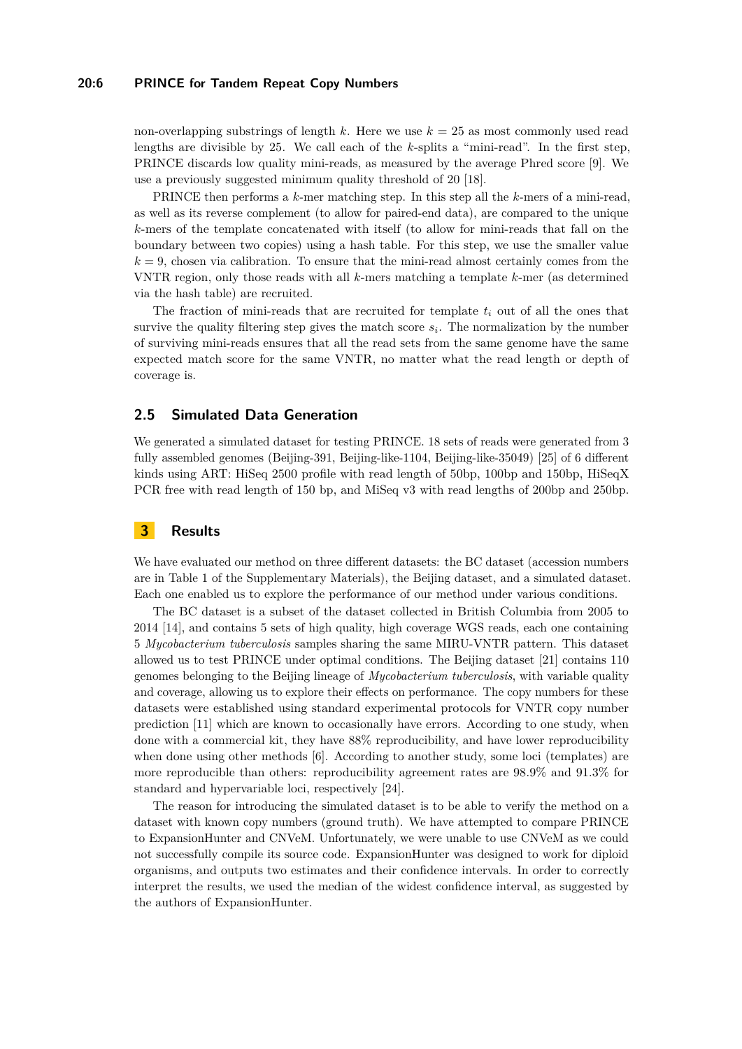#### **20:6 PRINCE for Tandem Repeat Copy Numbers**

non-overlapping substrings of length *k*. Here we use *k* = 25 as most commonly used read lengths are divisible by 25. We call each of the *k*-splits a "mini-read". In the first step, PRINCE discards low quality mini-reads, as measured by the average Phred score [\[9\]](#page-10-14). We use a previously suggested minimum quality threshold of 20 [\[18\]](#page-10-15).

PRINCE then performs a *k*-mer matching step. In this step all the *k*-mers of a mini-read, as well as its reverse complement (to allow for paired-end data), are compared to the unique *k*-mers of the template concatenated with itself (to allow for mini-reads that fall on the boundary between two copies) using a hash table. For this step, we use the smaller value  $k = 9$ , chosen via calibration. To ensure that the mini-read almost certainly comes from the VNTR region, only those reads with all *k*-mers matching a template *k*-mer (as determined via the hash table) are recruited.

The fraction of mini-reads that are recruited for template  $t_i$  out of all the ones that survive the quality filtering step gives the match score *s<sup>i</sup>* . The normalization by the number of surviving mini-reads ensures that all the read sets from the same genome have the same expected match score for the same VNTR, no matter what the read length or depth of coverage is.

# **2.5 Simulated Data Generation**

We generated a simulated dataset for testing PRINCE. 18 sets of reads were generated from 3 fully assembled genomes (Beijing-391, Beijing-like-1104, Beijing-like-35049) [\[25\]](#page-11-13) of 6 different kinds using ART: HiSeq 2500 profile with read length of 50bp, 100bp and 150bp, HiSeqX PCR free with read length of 150 bp, and MiSeq v3 with read lengths of 200bp and 250bp.

# **3 Results**

We have evaluated our method on three different datasets: the BC dataset (accession numbers are in Table 1 of the Supplementary Materials), the Beijing dataset, and a simulated dataset. Each one enabled us to explore the performance of our method under various conditions.

The BC dataset is a subset of the dataset collected in British Columbia from 2005 to 2014 [\[14\]](#page-10-16), and contains 5 sets of high quality, high coverage WGS reads, each one containing 5 *Mycobacterium tuberculosis* samples sharing the same MIRU-VNTR pattern. This dataset allowed us to test PRINCE under optimal conditions. The Beijing dataset [\[21\]](#page-11-15) contains 110 genomes belonging to the Beijing lineage of *Mycobacterium tuberculosis*, with variable quality and coverage, allowing us to explore their effects on performance. The copy numbers for these datasets were established using standard experimental protocols for VNTR copy number prediction [\[11\]](#page-10-17) which are known to occasionally have errors. According to one study, when done with a commercial kit, they have 88% reproducibility, and have lower reproducibility when done using other methods [\[6\]](#page-10-18). According to another study, some loci (templates) are more reproducible than others: reproducibility agreement rates are 98.9% and 91.3% for standard and hypervariable loci, respectively [\[24\]](#page-11-16).

The reason for introducing the simulated dataset is to be able to verify the method on a dataset with known copy numbers (ground truth). We have attempted to compare PRINCE to ExpansionHunter and CNVeM. Unfortunately, we were unable to use CNVeM as we could not successfully compile its source code. ExpansionHunter was designed to work for diploid organisms, and outputs two estimates and their confidence intervals. In order to correctly interpret the results, we used the median of the widest confidence interval, as suggested by the authors of ExpansionHunter.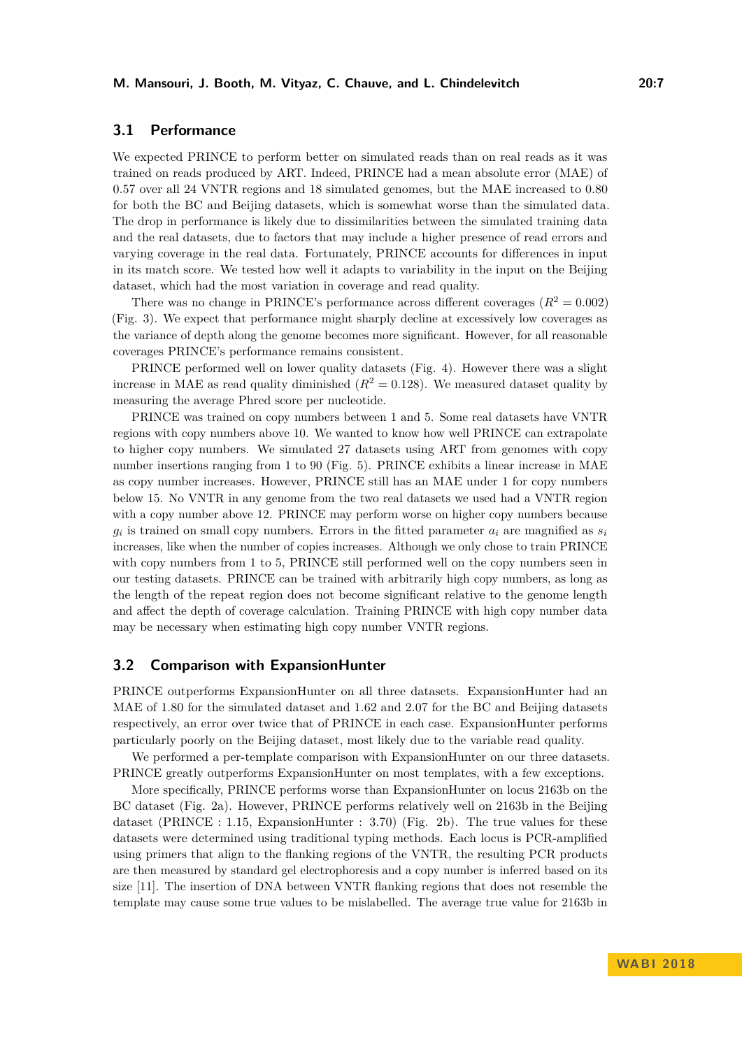# **3.1 Performance**

We expected PRINCE to perform better on simulated reads than on real reads as it was trained on reads produced by ART. Indeed, PRINCE had a mean absolute error (MAE) of 0.57 over all 24 VNTR regions and 18 simulated genomes, but the MAE increased to 0.80 for both the BC and Beijing datasets, which is somewhat worse than the simulated data. The drop in performance is likely due to dissimilarities between the simulated training data and the real datasets, due to factors that may include a higher presence of read errors and varying coverage in the real data. Fortunately, PRINCE accounts for differences in input in its match score. We tested how well it adapts to variability in the input on the Beijing dataset, which had the most variation in coverage and read quality.

There was no change in PRINCE's performance across different coverages  $(R^2 = 0.002)$ (Fig. [3\)](#page-8-0). We expect that performance might sharply decline at excessively low coverages as the variance of depth along the genome becomes more significant. However, for all reasonable coverages PRINCE's performance remains consistent.

PRINCE performed well on lower quality datasets (Fig. [4\)](#page-8-1). However there was a slight increase in MAE as read quality diminished  $(R^2 = 0.128)$ . We measured dataset quality by measuring the average Phred score per nucleotide.

PRINCE was trained on copy numbers between 1 and 5. Some real datasets have VNTR regions with copy numbers above 10. We wanted to know how well PRINCE can extrapolate to higher copy numbers. We simulated 27 datasets using ART from genomes with copy number insertions ranging from 1 to 90 (Fig. [5\)](#page-9-0). PRINCE exhibits a linear increase in MAE as copy number increases. However, PRINCE still has an MAE under 1 for copy numbers below 15. No VNTR in any genome from the two real datasets we used had a VNTR region with a copy number above 12. PRINCE may perform worse on higher copy numbers because  $g_i$  is trained on small copy numbers. Errors in the fitted parameter  $a_i$  are magnified as  $s_i$ increases, like when the number of copies increases. Although we only chose to train PRINCE with copy numbers from 1 to 5, PRINCE still performed well on the copy numbers seen in our testing datasets. PRINCE can be trained with arbitrarily high copy numbers, as long as the length of the repeat region does not become significant relative to the genome length and affect the depth of coverage calculation. Training PRINCE with high copy number data may be necessary when estimating high copy number VNTR regions.

#### **3.2 Comparison with ExpansionHunter**

PRINCE outperforms ExpansionHunter on all three datasets. ExpansionHunter had an MAE of 1.80 for the simulated dataset and 1.62 and 2.07 for the BC and Beijing datasets respectively, an error over twice that of PRINCE in each case. ExpansionHunter performs particularly poorly on the Beijing dataset, most likely due to the variable read quality.

We performed a per-template comparison with ExpansionHunter on our three datasets. PRINCE greatly outperforms ExpansionHunter on most templates, with a few exceptions.

More specifically, PRINCE performs worse than ExpansionHunter on locus 2163b on the BC dataset (Fig. [2a\)](#page-7-0). However, PRINCE performs relatively well on 2163b in the Beijing dataset (PRINCE : 1.15, ExpansionHunter : 3.70) (Fig. [2b\)](#page-7-0). The true values for these datasets were determined using traditional typing methods. Each locus is PCR-amplified using primers that align to the flanking regions of the VNTR, the resulting PCR products are then measured by standard gel electrophoresis and a copy number is inferred based on its size [\[11\]](#page-10-17). The insertion of DNA between VNTR flanking regions that does not resemble the template may cause some true values to be mislabelled. The average true value for 2163b in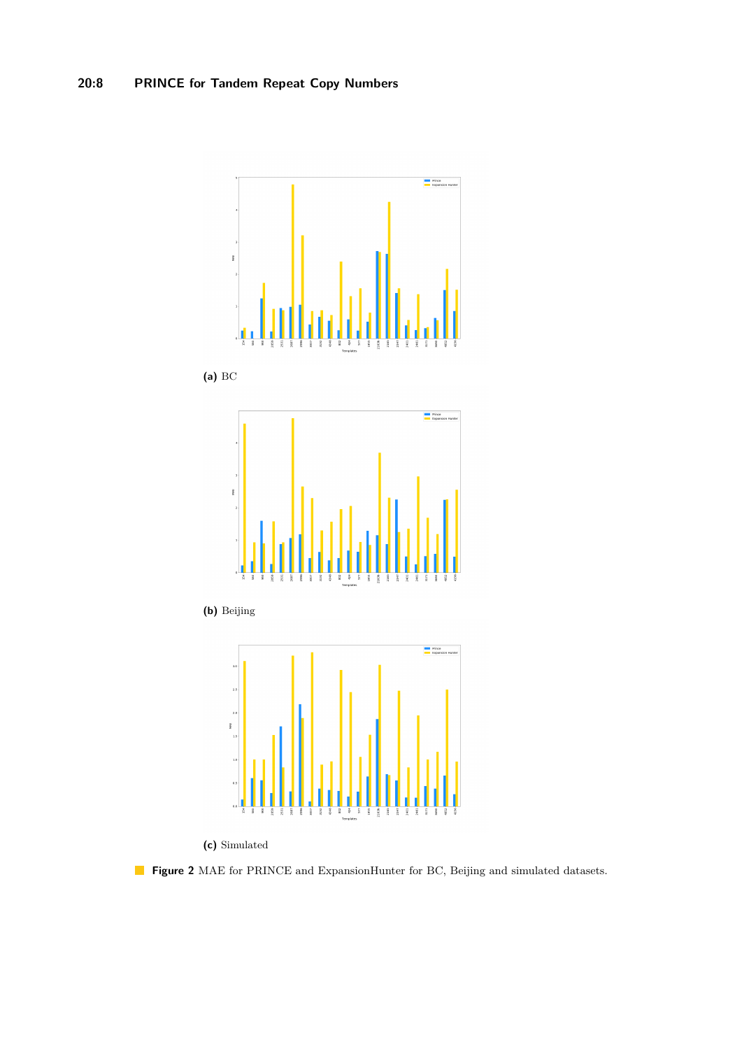<span id="page-7-0"></span>

**(c)** Simulated

**Figure 2** MAE for PRINCE and ExpansionHunter for BC, Beijing and simulated datasets.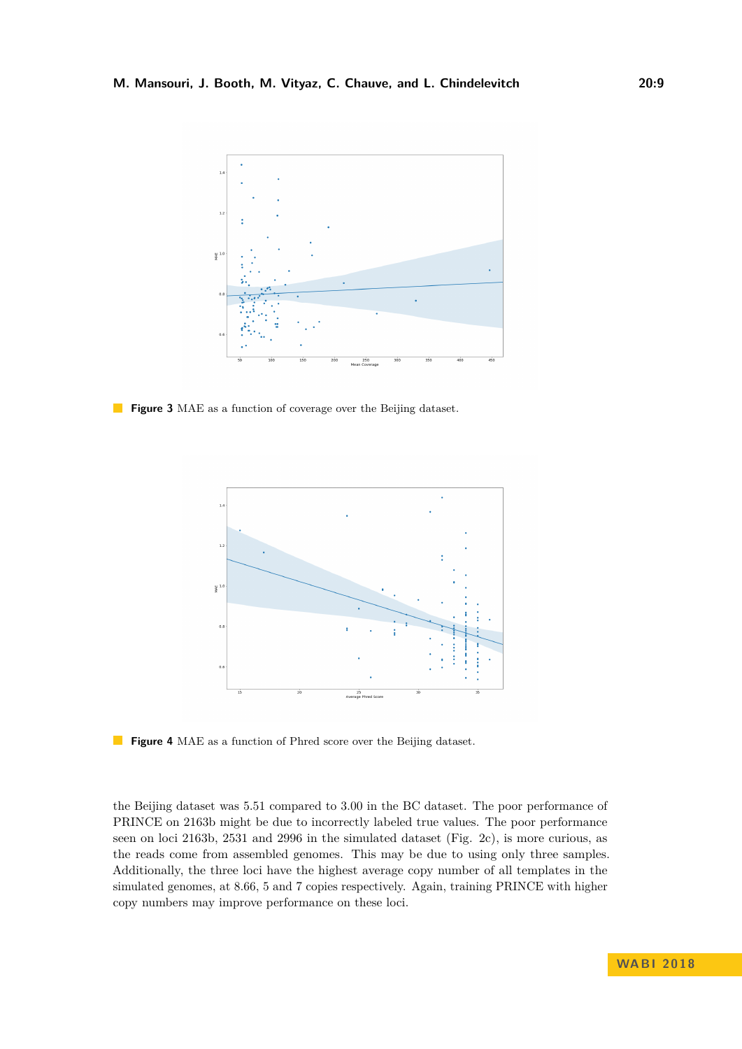<span id="page-8-0"></span>

<span id="page-8-1"></span>**Figure 3** MAE as a function of coverage over the Beijing dataset.



**Figure 4** MAE as a function of Phred score over the Beijing dataset.

the Beijing dataset was 5.51 compared to 3.00 in the BC dataset. The poor performance of PRINCE on 2163b might be due to incorrectly labeled true values. The poor performance seen on loci 2163b, 2531 and 2996 in the simulated dataset (Fig. [2c\)](#page-7-0), is more curious, as the reads come from assembled genomes. This may be due to using only three samples. Additionally, the three loci have the highest average copy number of all templates in the simulated genomes, at 8.66, 5 and 7 copies respectively. Again, training PRINCE with higher copy numbers may improve performance on these loci.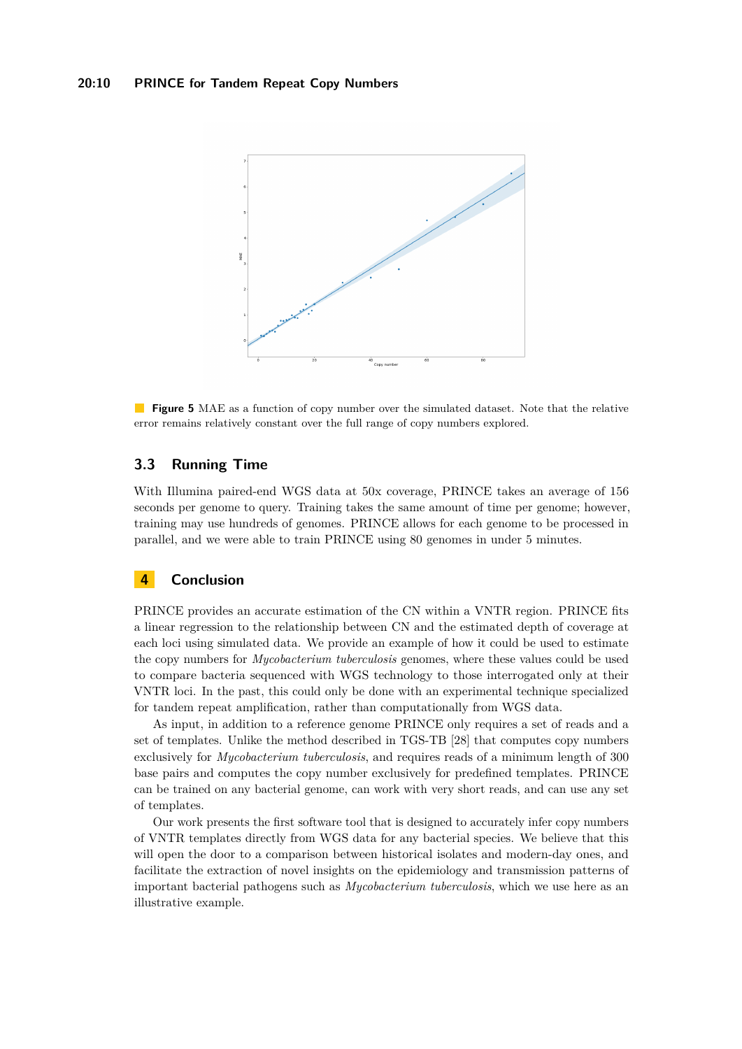<span id="page-9-0"></span>

**Figure 5** MAE as a function of copy number over the simulated dataset. Note that the relative error remains relatively constant over the full range of copy numbers explored.

### **3.3 Running Time**

With Illumina paired-end WGS data at 50x coverage, PRINCE takes an average of 156 seconds per genome to query. Training takes the same amount of time per genome; however, training may use hundreds of genomes. PRINCE allows for each genome to be processed in parallel, and we were able to train PRINCE using 80 genomes in under 5 minutes.

# **4 Conclusion**

PRINCE provides an accurate estimation of the CN within a VNTR region. PRINCE fits a linear regression to the relationship between CN and the estimated depth of coverage at each loci using simulated data. We provide an example of how it could be used to estimate the copy numbers for *Mycobacterium tuberculosis* genomes, where these values could be used to compare bacteria sequenced with WGS technology to those interrogated only at their VNTR loci. In the past, this could only be done with an experimental technique specialized for tandem repeat amplification, rather than computationally from WGS data.

As input, in addition to a reference genome PRINCE only requires a set of reads and a set of templates. Unlike the method described in TGS-TB [\[28\]](#page-11-11) that computes copy numbers exclusively for *Mycobacterium tuberculosis*, and requires reads of a minimum length of 300 base pairs and computes the copy number exclusively for predefined templates. PRINCE can be trained on any bacterial genome, can work with very short reads, and can use any set of templates.

Our work presents the first software tool that is designed to accurately infer copy numbers of VNTR templates directly from WGS data for any bacterial species. We believe that this will open the door to a comparison between historical isolates and modern-day ones, and facilitate the extraction of novel insights on the epidemiology and transmission patterns of important bacterial pathogens such as *Mycobacterium tuberculosis*, which we use here as an illustrative example.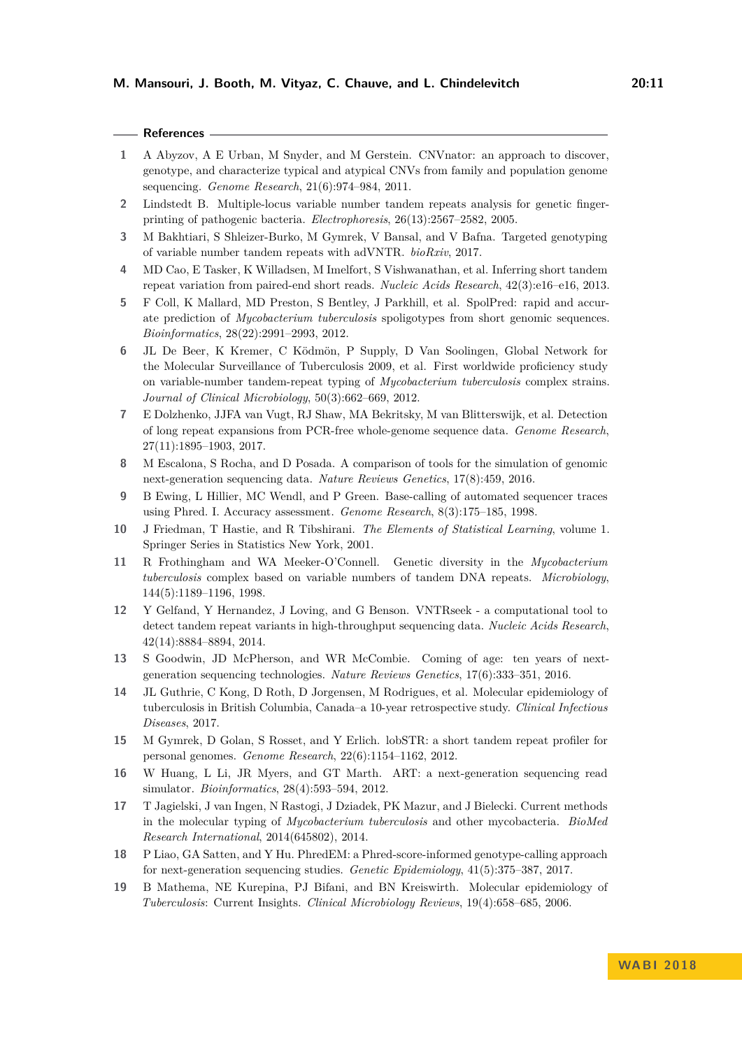| ×<br>۰. |  |  |
|---------|--|--|

#### **References**

- <span id="page-10-7"></span>**1** A Abyzov, A E Urban, M Snyder, and M Gerstein. CNVnator: an approach to discover, genotype, and characterize typical and atypical CNVs from family and population genome sequencing. *Genome Research*, 21(6):974–984, 2011.
- <span id="page-10-0"></span>**2** Lindstedt B. Multiple-locus variable number tandem repeats analysis for genetic fingerprinting of pathogenic bacteria. *Electrophoresis*, 26(13):2567–2582, 2005.
- <span id="page-10-9"></span>**3** M Bakhtiari, S Shleizer-Burko, M Gymrek, V Bansal, and V Bafna. Targeted genotyping of variable number tandem repeats with adVNTR. *bioRxiv*, 2017.
- <span id="page-10-6"></span>**4** MD Cao, E Tasker, K Willadsen, M Imelfort, S Vishwanathan, et al. Inferring short tandem repeat variation from paired-end short reads. *Nucleic Acids Research*, 42(3):e16–e16, 2013.
- <span id="page-10-3"></span>**5** F Coll, K Mallard, MD Preston, S Bentley, J Parkhill, et al. SpolPred: rapid and accurate prediction of *Mycobacterium tuberculosis* spoligotypes from short genomic sequences. *Bioinformatics*, 28(22):2991–2993, 2012.
- <span id="page-10-18"></span>**6** JL De Beer, K Kremer, C Ködmön, P Supply, D Van Soolingen, Global Network for the Molecular Surveillance of Tuberculosis 2009, et al. First worldwide proficiency study on variable-number tandem-repeat typing of *Mycobacterium tuberculosis* complex strains. *Journal of Clinical Microbiology*, 50(3):662–669, 2012.
- <span id="page-10-8"></span>**7** E Dolzhenko, JJFA van Vugt, RJ Shaw, MA Bekritsky, M van Blitterswijk, et al. Detection of long repeat expansions from PCR-free whole-genome sequence data. *Genome Research*, 27(11):1895–1903, 2017.
- <span id="page-10-13"></span>**8** M Escalona, S Rocha, and D Posada. A comparison of tools for the simulation of genomic next-generation sequencing data. *Nature Reviews Genetics*, 17(8):459, 2016.
- <span id="page-10-14"></span>**9** B Ewing, L Hillier, MC Wendl, and P Green. Base-calling of automated sequencer traces using Phred. I. Accuracy assessment. *Genome Research*, 8(3):175–185, 1998.
- <span id="page-10-12"></span>**10** J Friedman, T Hastie, and R Tibshirani. *The Elements of Statistical Learning*, volume 1. Springer Series in Statistics New York, 2001.
- <span id="page-10-17"></span>**11** R Frothingham and WA Meeker-O'Connell. Genetic diversity in the *Mycobacterium tuberculosis* complex based on variable numbers of tandem DNA repeats. *Microbiology*, 144(5):1189–1196, 1998.
- <span id="page-10-10"></span>**12** Y Gelfand, Y Hernandez, J Loving, and G Benson. VNTRseek - a computational tool to detect tandem repeat variants in high-throughput sequencing data. *Nucleic Acids Research*, 42(14):8884–8894, 2014.
- <span id="page-10-4"></span>**13** S Goodwin, JD McPherson, and WR McCombie. Coming of age: ten years of nextgeneration sequencing technologies. *Nature Reviews Genetics*, 17(6):333–351, 2016.
- <span id="page-10-16"></span>**14** JL Guthrie, C Kong, D Roth, D Jorgensen, M Rodrigues, et al. Molecular epidemiology of tuberculosis in British Columbia, Canada–a 10-year retrospective study. *Clinical Infectious Diseases*, 2017.
- <span id="page-10-5"></span>**15** M Gymrek, D Golan, S Rosset, and Y Erlich. lobSTR: a short tandem repeat profiler for personal genomes. *Genome Research*, 22(6):1154–1162, 2012.
- <span id="page-10-11"></span>**16** W Huang, L Li, JR Myers, and GT Marth. ART: a next-generation sequencing read simulator. *Bioinformatics*, 28(4):593–594, 2012.
- <span id="page-10-2"></span>**17** T Jagielski, J van Ingen, N Rastogi, J Dziadek, PK Mazur, and J Bielecki. Current methods in the molecular typing of *Mycobacterium tuberculosis* and other mycobacteria. *BioMed Research International*, 2014(645802), 2014.
- <span id="page-10-15"></span>**18** P Liao, GA Satten, and Y Hu. PhredEM: a Phred-score-informed genotype-calling approach for next-generation sequencing studies. *Genetic Epidemiology*, 41(5):375–387, 2017.
- <span id="page-10-1"></span>**19** B Mathema, NE Kurepina, PJ Bifani, and BN Kreiswirth. Molecular epidemiology of *Tuberculosis*: Current Insights. *Clinical Microbiology Reviews*, 19(4):658–685, 2006.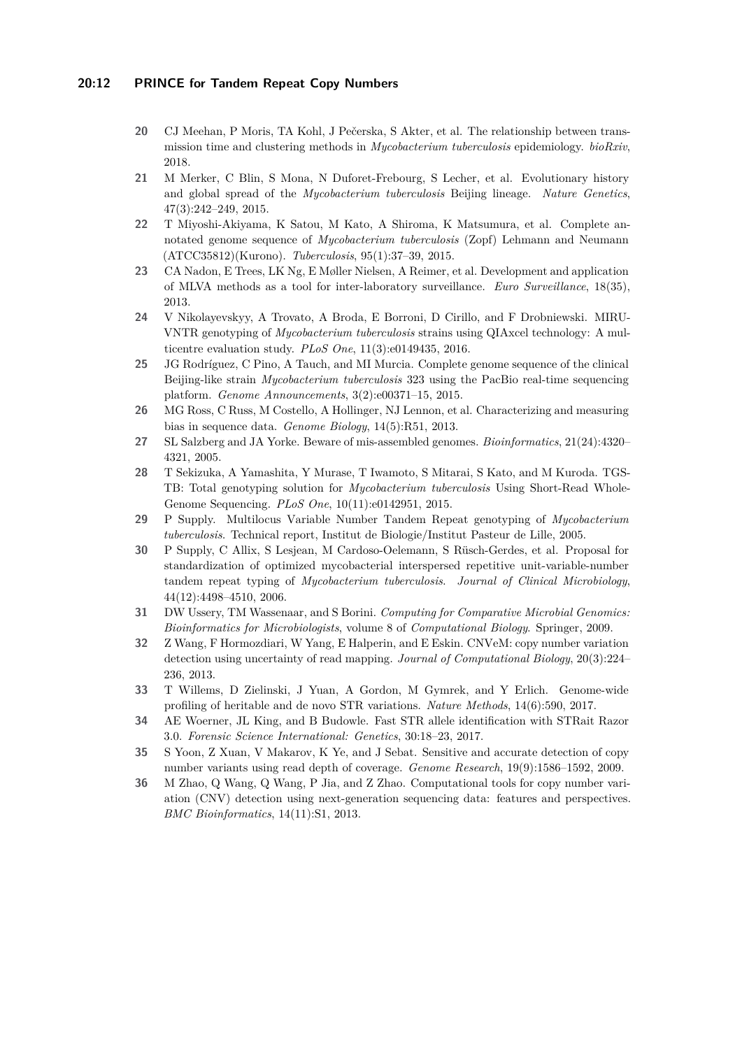#### **20:12 PRINCE for Tandem Repeat Copy Numbers**

- <span id="page-11-2"></span>**20** CJ Meehan, P Moris, TA Kohl, J Pečerska, S Akter, et al. The relationship between transmission time and clustering methods in *Mycobacterium tuberculosis* epidemiology. *bioRxiv*, 2018.
- <span id="page-11-15"></span>**21** M Merker, C Blin, S Mona, N Duforet-Frebourg, S Lecher, et al. Evolutionary history and global spread of the *Mycobacterium tuberculosis* Beijing lineage. *Nature Genetics*, 47(3):242–249, 2015.
- <span id="page-11-14"></span>**22** T Miyoshi-Akiyama, K Satou, M Kato, A Shiroma, K Matsumura, et al. Complete annotated genome sequence of *Mycobacterium tuberculosis* (Zopf) Lehmann and Neumann (ATCC35812)(Kurono). *Tuberculosis*, 95(1):37–39, 2015.
- <span id="page-11-3"></span>**23** CA Nadon, E Trees, LK Ng, E Møller Nielsen, A Reimer, et al. Development and application of MLVA methods as a tool for inter-laboratory surveillance. *Euro Surveillance*, 18(35), 2013.
- <span id="page-11-16"></span>**24** V Nikolayevskyy, A Trovato, A Broda, E Borroni, D Cirillo, and F Drobniewski. MIRU-VNTR genotyping of *Mycobacterium tuberculosis* strains using QIAxcel technology: A multicentre evaluation study. *PLoS One*, 11(3):e0149435, 2016.
- <span id="page-11-13"></span>**25** JG Rodríguez, C Pino, A Tauch, and MI Murcia. Complete genome sequence of the clinical Beijing-like strain *Mycobacterium tuberculosis* 323 using the PacBio real-time sequencing platform. *Genome Announcements*, 3(2):e00371–15, 2015.
- <span id="page-11-12"></span>**26** MG Ross, C Russ, M Costello, A Hollinger, NJ Lennon, et al. Characterizing and measuring bias in sequence data. *Genome Biology*, 14(5):R51, 2013.
- <span id="page-11-4"></span>**27** SL Salzberg and JA Yorke. Beware of mis-assembled genomes. *Bioinformatics*, 21(24):4320– 4321, 2005.
- <span id="page-11-11"></span>**28** T Sekizuka, A Yamashita, Y Murase, T Iwamoto, S Mitarai, S Kato, and M Kuroda. TGS-TB: Total genotyping solution for *Mycobacterium tuberculosis* Using Short-Read Whole-Genome Sequencing. *PLoS One*, 10(11):e0142951, 2015.
- <span id="page-11-0"></span>**29** P Supply. Multilocus Variable Number Tandem Repeat genotyping of *Mycobacterium tuberculosis*. Technical report, Institut de Biologie/Institut Pasteur de Lille, 2005.
- <span id="page-11-1"></span>**30** P Supply, C Allix, S Lesjean, M Cardoso-Oelemann, S Rüsch-Gerdes, et al. Proposal for standardization of optimized mycobacterial interspersed repetitive unit-variable-number tandem repeat typing of *Mycobacterium tuberculosis*. *Journal of Clinical Microbiology*, 44(12):4498–4510, 2006.
- <span id="page-11-5"></span>**31** DW Ussery, TM Wassenaar, and S Borini. *Computing for Comparative Microbial Genomics: Bioinformatics for Microbiologists*, volume 8 of *Computational Biology*. Springer, 2009.
- <span id="page-11-10"></span>**32** Z Wang, F Hormozdiari, W Yang, E Halperin, and E Eskin. CNVeM: copy number variation detection using uncertainty of read mapping. *Journal of Computational Biology*, 20(3):224– 236, 2013.
- <span id="page-11-6"></span>**33** T Willems, D Zielinski, J Yuan, A Gordon, M Gymrek, and Y Erlich. Genome-wide profiling of heritable and de novo STR variations. *Nature Methods*, 14(6):590, 2017.
- <span id="page-11-7"></span>**34** AE Woerner, JL King, and B Budowle. Fast STR allele identification with STRait Razor 3.0. *Forensic Science International: Genetics*, 30:18–23, 2017.
- <span id="page-11-9"></span>**35** S Yoon, Z Xuan, V Makarov, K Ye, and J Sebat. Sensitive and accurate detection of copy number variants using read depth of coverage. *Genome Research*, 19(9):1586–1592, 2009.
- <span id="page-11-8"></span>**36** M Zhao, Q Wang, Q Wang, P Jia, and Z Zhao. Computational tools for copy number variation (CNV) detection using next-generation sequencing data: features and perspectives. *BMC Bioinformatics*, 14(11):S1, 2013.